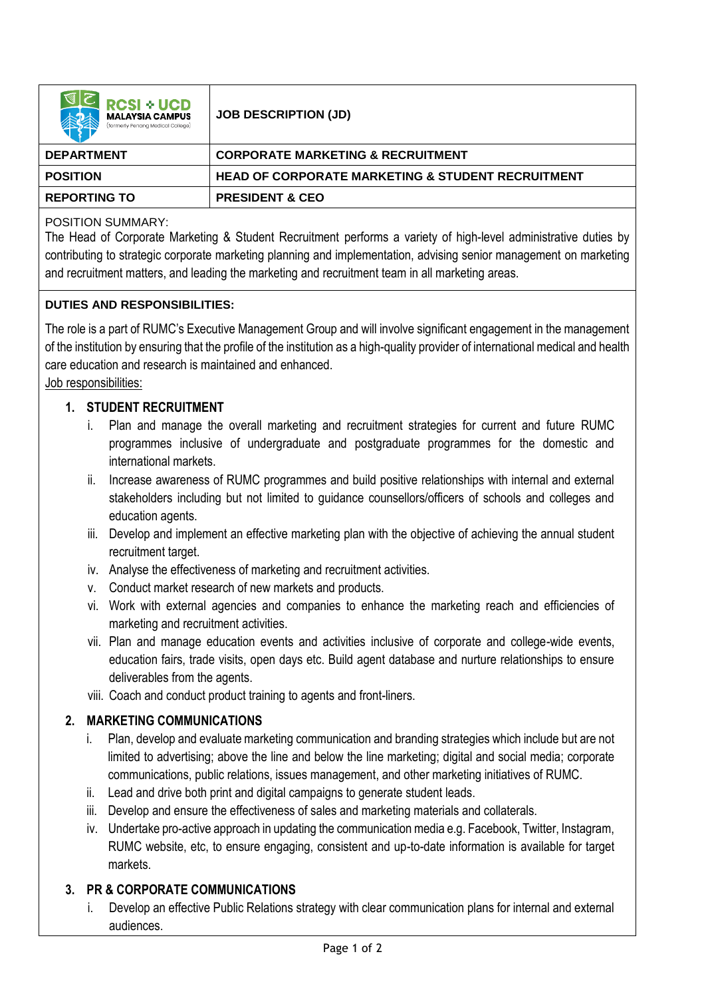| <b>RCSI + UCD</b><br><b>MALAYSIA CAMPUS</b><br>(formerly Penana Medical College) | <b>JOB DESCRIPTION (JD)</b>                                  |
|----------------------------------------------------------------------------------|--------------------------------------------------------------|
| <b>DEPARTMENT</b>                                                                | <b>CORPORATE MARKETING &amp; RECRUITMENT</b>                 |
| <b>POSITION</b>                                                                  | <b>HEAD OF CORPORATE MARKETING &amp; STUDENT RECRUITMENT</b> |
| <b>REPORTING TO</b>                                                              | <b>PRESIDENT &amp; CEO</b>                                   |

## POSITION SUMMARY:

The Head of Corporate Marketing & Student Recruitment performs a variety of high-level administrative duties by contributing to strategic corporate marketing planning and implementation, advising senior management on marketing and recruitment matters, and leading the marketing and recruitment team in all marketing areas.

## **DUTIES AND RESPONSIBILITIES:**

The role is a part of RUMC's Executive Management Group and will involve significant engagement in the management of the institution by ensuring that the profile of the institution as a high-quality provider of international medical and health care education and research is maintained and enhanced.

Job responsibilities:

## **1. STUDENT RECRUITMENT**

- i. Plan and manage the overall marketing and recruitment strategies for current and future RUMC programmes inclusive of undergraduate and postgraduate programmes for the domestic and international markets.
- ii. Increase awareness of RUMC programmes and build positive relationships with internal and external stakeholders including but not limited to guidance counsellors/officers of schools and colleges and education agents.
- iii. Develop and implement an effective marketing plan with the objective of achieving the annual student recruitment target.
- iv. Analyse the effectiveness of marketing and recruitment activities.
- v. Conduct market research of new markets and products.
- vi. Work with external agencies and companies to enhance the marketing reach and efficiencies of marketing and recruitment activities.
- vii. Plan and manage education events and activities inclusive of corporate and college-wide events, education fairs, trade visits, open days etc. Build agent database and nurture relationships to ensure deliverables from the agents.
- viii. Coach and conduct product training to agents and front-liners.

# **2. MARKETING COMMUNICATIONS**

- i. Plan, develop and evaluate marketing communication and branding strategies which include but are not limited to advertising; above the line and below the line marketing; digital and social media; corporate communications, public relations, issues management, and other marketing initiatives of RUMC.
- ii. Lead and drive both print and digital campaigns to generate student leads.
- iii. Develop and ensure the effectiveness of sales and marketing materials and collaterals.
- iv. Undertake pro-active approach in updating the communication media e.g. Facebook, Twitter, Instagram, RUMC website, etc, to ensure engaging, consistent and up-to-date information is available for target markets.

# **3. PR & CORPORATE COMMUNICATIONS**

i. Develop an effective Public Relations strategy with clear communication plans for internal and external audiences.